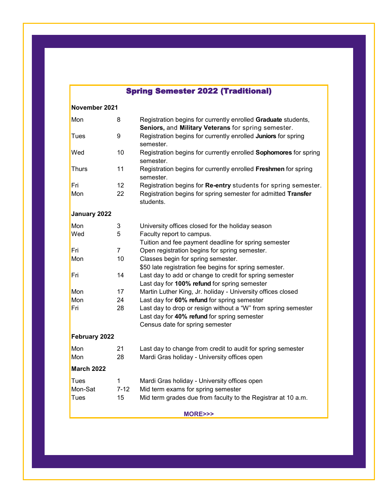# Spring Semester 2022 (Traditional)

### **November 2021**

| Mon               | 8              | Registration begins for currently enrolled Graduate students,<br>Seniors, and Military Veterans for spring semester.                            |
|-------------------|----------------|-------------------------------------------------------------------------------------------------------------------------------------------------|
| <b>Tues</b>       | 9              | Registration begins for currently enrolled Juniors for spring<br>semester.                                                                      |
| Wed               | 10             | Registration begins for currently enrolled Sophomores for spring<br>semester.                                                                   |
| <b>Thurs</b>      | 11             | Registration begins for currently enrolled Freshmen for spring<br>semester.                                                                     |
| Fri               | 12             | Registration begins for Re-entry students for spring semester.                                                                                  |
| Mon               | 22             | Registration begins for spring semester for admitted Transfer<br>students.                                                                      |
| January 2022      |                |                                                                                                                                                 |
| Mon               | 3              | University offices closed for the holiday season                                                                                                |
| Wed               | 5              | Faculty report to campus.                                                                                                                       |
|                   |                | Tuition and fee payment deadline for spring semester                                                                                            |
| Fri               | $\overline{7}$ | Open registration begins for spring semester.                                                                                                   |
| Mon               | 10             | Classes begin for spring semester.                                                                                                              |
|                   |                | \$50 late registration fee begins for spring semester.                                                                                          |
| Fri               | 14             | Last day to add or change to credit for spring semester<br>Last day for 100% refund for spring semester                                         |
| Mon               | 17             | Martin Luther King, Jr. holiday - University offices closed                                                                                     |
| Mon               | 24             | Last day for 60% refund for spring semester                                                                                                     |
| Fri               | 28             | Last day to drop or resign without a "W" from spring semester<br>Last day for 40% refund for spring semester<br>Census date for spring semester |
| February 2022     |                |                                                                                                                                                 |
| Mon               | 21             | Last day to change from credit to audit for spring semester                                                                                     |
| Mon               | 28             | Mardi Gras holiday - University offices open                                                                                                    |
| <b>March 2022</b> |                |                                                                                                                                                 |
| <b>Tues</b>       | $\mathbf 1$    | Mardi Gras holiday - University offices open                                                                                                    |
| Mon-Sat           | $7 - 12$       | Mid term exams for spring semester                                                                                                              |
| Tues              | 15             | Mid term grades due from faculty to the Registrar at 10 a.m.                                                                                    |

**MORE>>>**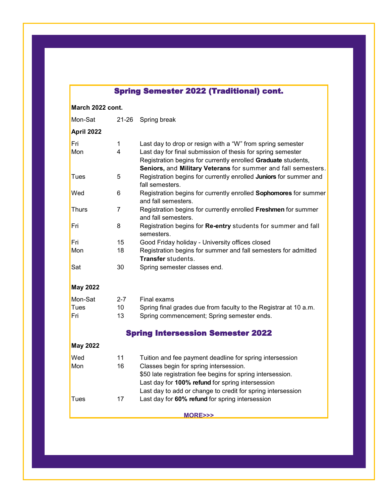## Spring Semester 2022 (Traditional) cont.

**March 2022 cont.**

| Mon-Sat                                  | $21 - 26$      | Spring break                                                                                                                                                                                  |  |  |  |
|------------------------------------------|----------------|-----------------------------------------------------------------------------------------------------------------------------------------------------------------------------------------------|--|--|--|
| April 2022                               |                |                                                                                                                                                                                               |  |  |  |
| Fri                                      | $\mathbf 1$    | Last day to drop or resign with a "W" from spring semester                                                                                                                                    |  |  |  |
| Mon                                      | $\overline{4}$ | Last day for final submission of thesis for spring semester<br>Registration begins for currently enrolled Graduate students,<br>Seniors, and Military Veterans for summer and fall semesters. |  |  |  |
| Tues                                     | 5              | Registration begins for currently enrolled Juniors for summer and<br>fall semesters.                                                                                                          |  |  |  |
| Wed                                      | 6              | Registration begins for currently enrolled Sophomores for summer<br>and fall semesters.                                                                                                       |  |  |  |
| <b>Thurs</b>                             | 7              | Registration begins for currently enrolled Freshmen for summer<br>and fall semesters.                                                                                                         |  |  |  |
| Fri                                      | 8              | Registration begins for Re-entry students for summer and fall<br>semesters.                                                                                                                   |  |  |  |
| Fri                                      | 15             | Good Friday holiday - University offices closed                                                                                                                                               |  |  |  |
| Mon                                      | 18             | Registration begins for summer and fall semesters for admitted<br><b>Transfer</b> students.                                                                                                   |  |  |  |
| Sat                                      | 30             | Spring semester classes end.                                                                                                                                                                  |  |  |  |
| <b>May 2022</b>                          |                |                                                                                                                                                                                               |  |  |  |
| Mon-Sat                                  | $2 - 7$        | Final exams                                                                                                                                                                                   |  |  |  |
| Tues                                     | 10             | Spring final grades due from faculty to the Registrar at 10 a.m.                                                                                                                              |  |  |  |
| Fri                                      | 13             | Spring commencement; Spring semester ends.                                                                                                                                                    |  |  |  |
| <b>Spring Intersession Semester 2022</b> |                |                                                                                                                                                                                               |  |  |  |
| <b>May 2022</b>                          |                |                                                                                                                                                                                               |  |  |  |
| Wed                                      | 11             | Tuition and fee payment deadline for spring intersession                                                                                                                                      |  |  |  |
| Mon                                      | 16             | Classes begin for spring intersession.                                                                                                                                                        |  |  |  |
|                                          |                | \$50 late registration fee begins for spring intersession.                                                                                                                                    |  |  |  |
|                                          |                | Last day for 100% refund for spring intersession                                                                                                                                              |  |  |  |
|                                          |                | Last day to add or change to credit for spring intersession                                                                                                                                   |  |  |  |
| Tues                                     | 17             | Last day for 60% refund for spring intersession                                                                                                                                               |  |  |  |
| MORE>>>                                  |                |                                                                                                                                                                                               |  |  |  |